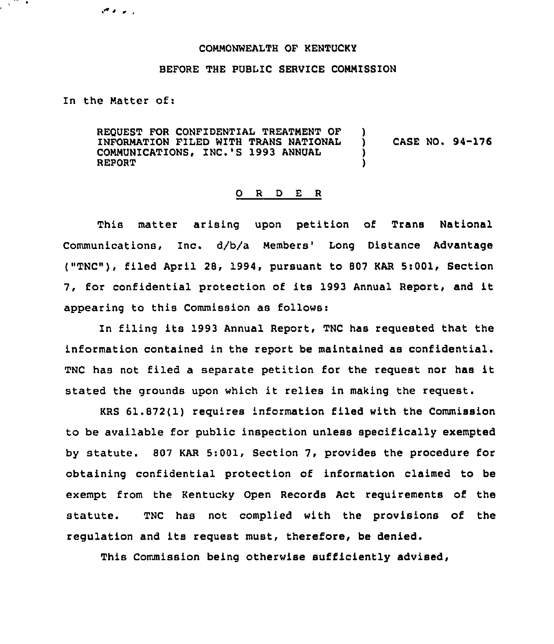## COMMONWEALTH OF KENTUCKY

## BEFORE THE PUBLIC SERVICE COMNISSION

In the Matter of:

 $\mathcal{C} \times \mathcal{C}$ 

a ya Tanzani

REQUEST FOR CONFIDENTIAL TREATMENT OF )<br>INFORMATION FILED WITH TRANS NATIONAL ) INFORMATION FILED WITH TRANS NATIONAL ) CASE NO. 94-176 COMMUNICATIONS, INC.'S 1993 ANNUAL<br>REPORT REPORT PRESERVED BY A STRUCK AND LOCAL CONTROL CONTROL CONTROL CONTROL CONTROL CONTROL CONTROL CONTROL CONTROL CONTROL CONTROL CONTROL CONTROL CONTROL CONTROL CONTROL CONTROL CONTROL CONTROL CONTROL CONTROL CONTROL CONTROL

## O R D E R

This matter arising upon petition of Trans National Communications, Inc. d/b/a Members' Long Distance Advantage ("TNC"), filed April 28, 1994, pursuant to 807 KAR 5:001, Section 7, for confidential protection of its 1993 Annual Report, and it appearing to this Commission as follows:

In filing its 1993 Annual Report, TNC has requested that the information contained in the report be maintained as confidential. TNC has not filed <sup>a</sup> separate petition for the request nor has it stated the grounds upon which it relies in making the request.

KRS 61.872(1) requires information filed with the Commission to be available for public inspection unless specifically exempted by statute. 807 KAR 5:001, Section 7, provides the procedure for obtaining confidential protection of information claimed to be exempt from the Kentucky Open Records Act requirements of the statute. TNC has not complied with the provisions of the regulation and its request must, therefore, be denied.

This Commission being otherwise sufficiently advised,